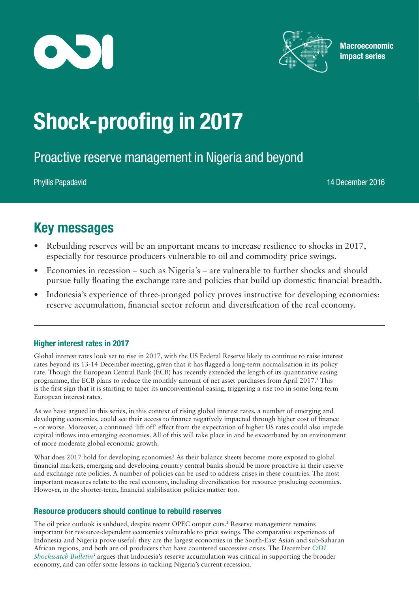



**Macroeconomic** impact series

# Shock-proofing in 2017

Proactive reserve management in Nigeria and beyond

Phyllis Papadavid 14 December 2016

## Key messages

- Rebuilding reserves will be an important means to increase resilience to shocks in 2017, especially for resource producers vulnerable to oil and commodity price swings.
- Economies in recession such as Nigeria's are vulnerable to further shocks and should pursue fully floating the exchange rate and policies that build up domestic financial breadth.
- Indonesia's experience of three-pronged policy proves instructive for developing economies: reserve accumulation, financial sector reform and diversification of the real economy.

### Higher interest rates in 2017

Global interest rates look set to rise in 2017, with the US Federal Reserve likely to continue to raise interest rates beyond its 13-14 December meeting, given that it has flagged a long-term normalisation in its policy rate. Though the European Central Bank (ECB) has recently extended the length of its quantitative easing programme, the ECB plans to reduce the monthly amount of net asset purchases from April 2017.<sup>1</sup> This is the first sign that it is starting to taper its unconventional easing, triggering a rise too in some long-term European interest rates.

As we have argued in this series, in this context of rising global interest rates, a number of emerging and developing economies, could see their access to finance negatively impacted through higher cost of finance – or worse. Moreover, a continued 'lift off' effect from the expectation of higher US rates could also impede capital inflows into emerging economies. All of this will take place in and be exacerbated by an environment of more moderate global economic growth.

What does 2017 hold for developing economies? As their balance sheets become more exposed to global financial markets, emerging and developing country central banks should be more proactive in their reserve and exchange rate policies. A number of policies can be used to address crises in these countries. The most important measures relate to the real economy, including diversification for resource producing economies. However, in the shorter-term, financial stabilisation policies matter too.

### Resource producers should continue to rebuild reserves

The oil price outlook is subdued, despite recent OPEC output cuts.2 Reserve management remains important for resource-dependent economies vulnerable to price swings. The comparative experiences of Indonesia and Nigeria prove useful: they are the largest economies in the South-East Asian and sub-Saharan African regions, and both are oil producers that have countered successive crises. The December *[ODI](https://www.odi.org/publications/10656-assessing-reserve-management-during-economic-crises-lessons-indonesia-and-nigeria)  [Shockwatch Bulletin](https://www.odi.org/publications/10656-assessing-reserve-management-during-economic-crises-lessons-indonesia-and-nigeria)*<sup>3</sup> argues that Indonesia's reserve accumulation was critical in supporting the broader economy, and can offer some lessons in tackling Nigeria's current recession.